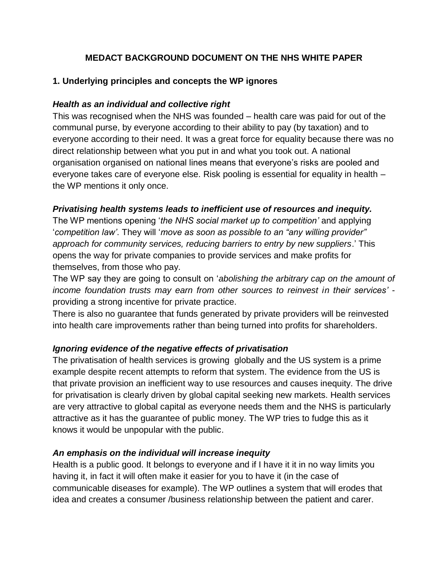# **MEDACT BACKGROUND DOCUMENT ON THE NHS WHITE PAPER**

## **1. Underlying principles and concepts the WP ignores**

#### *Health as an individual and collective right*

This was recognised when the NHS was founded – health care was paid for out of the communal purse, by everyone according to their ability to pay (by taxation) and to everyone according to their need. It was a great force for equality because there was no direct relationship between what you put in and what you took out. A national organisation organised on national lines means that everyone's risks are pooled and everyone takes care of everyone else. Risk pooling is essential for equality in health – the WP mentions it only once.

#### *Privatising health systems leads to inefficient use of resources and inequity.*

The WP mentions opening '*the NHS social market up to competition'* and applying '*competition law'*. They will '*move as soon as possible to an "any willing provider" approach for community services, reducing barriers to entry by new suppliers*.' This opens the way for private companies to provide services and make profits for themselves, from those who pay.

The WP say they are going to consult on '*abolishing the arbitrary cap on the amount of income foundation trusts may earn from other sources to reinvest in their services'* providing a strong incentive for private practice.

There is also no guarantee that funds generated by private providers will be reinvested into health care improvements rather than being turned into profits for shareholders.

## *Ignoring evidence of the negative effects of privatisation*

The privatisation of health services is growing globally and the US system is a prime example despite recent attempts to reform that system. The evidence from the US is that private provision an inefficient way to use resources and causes inequity. The drive for privatisation is clearly driven by global capital seeking new markets. Health services are very attractive to global capital as everyone needs them and the NHS is particularly attractive as it has the guarantee of public money. The WP tries to fudge this as it knows it would be unpopular with the public.

## *An emphasis on the individual will increase inequity*

Health is a public good. It belongs to everyone and if I have it it in no way limits you having it, in fact it will often make it easier for you to have it (in the case of communicable diseases for example). The WP outlines a system that will erodes that idea and creates a consumer /business relationship between the patient and carer.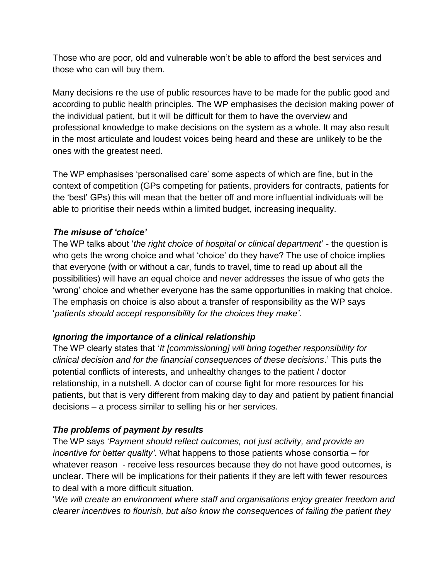Those who are poor, old and vulnerable won't be able to afford the best services and those who can will buy them.

Many decisions re the use of public resources have to be made for the public good and according to public health principles. The WP emphasises the decision making power of the individual patient, but it will be difficult for them to have the overview and professional knowledge to make decisions on the system as a whole. It may also result in the most articulate and loudest voices being heard and these are unlikely to be the ones with the greatest need.

The WP emphasises 'personalised care' some aspects of which are fine, but in the context of competition (GPs competing for patients, providers for contracts, patients for the 'best' GPs) this will mean that the better off and more influential individuals will be able to prioritise their needs within a limited budget, increasing inequality.

## *The misuse of 'choice'*

The WP talks about '*the right choice of hospital or clinical department*' - the question is who gets the wrong choice and what 'choice' do they have? The use of choice implies that everyone (with or without a car, funds to travel, time to read up about all the possibilities) will have an equal choice and never addresses the issue of who gets the 'wrong' choice and whether everyone has the same opportunities in making that choice. The emphasis on choice is also about a transfer of responsibility as the WP says '*patients should accept responsibility for the choices they make'*.

## *Ignoring the importance of a clinical relationship*

The WP clearly states that '*It [commissioning] will bring together responsibility for clinical decision and for the financial consequences of these decisions*.' This puts the potential conflicts of interests, and unhealthy changes to the patient / doctor relationship, in a nutshell. A doctor can of course fight for more resources for his patients, but that is very different from making day to day and patient by patient financial decisions – a process similar to selling his or her services.

# *The problems of payment by results*

The WP says '*Payment should reflect outcomes, not just activity, and provide an incentive for better quality'*. What happens to those patients whose consortia – for whatever reason - receive less resources because they do not have good outcomes, is unclear. There will be implications for their patients if they are left with fewer resources to deal with a more difficult situation.

'*We will create an environment where staff and organisations enjoy greater freedom and clearer incentives to flourish, but also know the consequences of failing the patient they*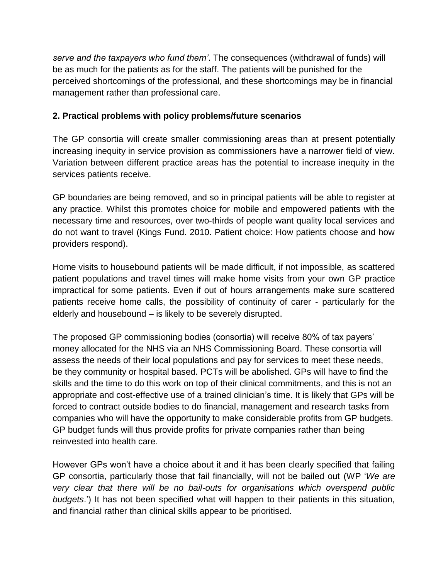*serve and the taxpayers who fund them'*. The consequences (withdrawal of funds) will be as much for the patients as for the staff. The patients will be punished for the perceived shortcomings of the professional, and these shortcomings may be in financial management rather than professional care.

## **2. Practical problems with policy problems/future scenarios**

The GP consortia will create smaller commissioning areas than at present potentially increasing inequity in service provision as commissioners have a narrower field of view. Variation between different practice areas has the potential to increase inequity in the services patients receive.

GP boundaries are being removed, and so in principal patients will be able to register at any practice. Whilst this promotes choice for mobile and empowered patients with the necessary time and resources, over two-thirds of people want quality local services and do not want to travel (Kings Fund. 2010. Patient choice: How patients choose and how providers respond).

Home visits to housebound patients will be made difficult, if not impossible, as scattered patient populations and travel times will make home visits from your own GP practice impractical for some patients. Even if out of hours arrangements make sure scattered patients receive home calls, the possibility of continuity of carer - particularly for the elderly and housebound – is likely to be severely disrupted.

The proposed GP commissioning bodies (consortia) will receive 80% of tax payers' money allocated for the NHS via an NHS Commissioning Board. These consortia will assess the needs of their local populations and pay for services to meet these needs, be they community or hospital based. PCTs will be abolished. GPs will have to find the skills and the time to do this work on top of their clinical commitments, and this is not an appropriate and cost-effective use of a trained clinician's time. It is likely that GPs will be forced to contract outside bodies to do financial, management and research tasks from companies who will have the opportunity to make considerable profits from GP budgets. GP budget funds will thus provide profits for private companies rather than being reinvested into health care.

However GPs won't have a choice about it and it has been clearly specified that failing GP consortia, particularly those that fail financially, will not be bailed out (WP '*We are very clear that there will be no bail-outs for organisations which overspend public budgets*.') It has not been specified what will happen to their patients in this situation, and financial rather than clinical skills appear to be prioritised.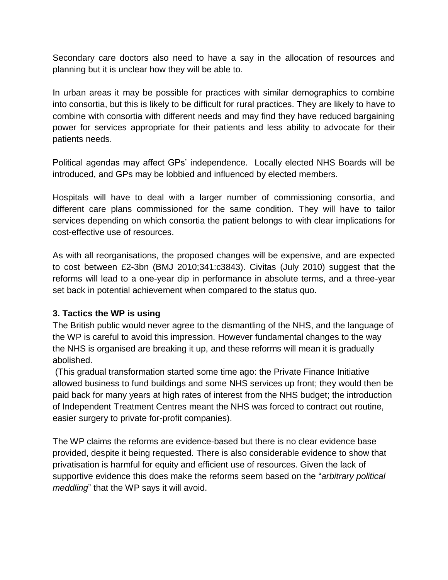Secondary care doctors also need to have a say in the allocation of resources and planning but it is unclear how they will be able to.

In urban areas it may be possible for practices with similar demographics to combine into consortia, but this is likely to be difficult for rural practices. They are likely to have to combine with consortia with different needs and may find they have reduced bargaining power for services appropriate for their patients and less ability to advocate for their patients needs.

Political agendas may affect GPs' independence. Locally elected NHS Boards will be introduced, and GPs may be lobbied and influenced by elected members.

Hospitals will have to deal with a larger number of commissioning consortia, and different care plans commissioned for the same condition. They will have to tailor services depending on which consortia the patient belongs to with clear implications for cost-effective use of resources.

As with all reorganisations, the proposed changes will be expensive, and are expected to cost between £2-3bn (BMJ 2010;341:c3843). Civitas (July 2010) suggest that the reforms will lead to a one-year dip in performance in absolute terms, and a three-year set back in potential achievement when compared to the status quo.

## **3. Tactics the WP is using**

The British public would never agree to the dismantling of the NHS, and the language of the WP is careful to avoid this impression. However fundamental changes to the way the NHS is organised are breaking it up, and these reforms will mean it is gradually abolished.

(This gradual transformation started some time ago: the Private Finance Initiative allowed business to fund buildings and some NHS services up front; they would then be paid back for many years at high rates of interest from the NHS budget; the introduction of Independent Treatment Centres meant the NHS was forced to contract out routine, easier surgery to private for-profit companies).

The WP claims the reforms are evidence-based but there is no clear evidence base provided, despite it being requested. There is also considerable evidence to show that privatisation is harmful for equity and efficient use of resources. Given the lack of supportive evidence this does make the reforms seem based on the "*arbitrary political meddling*" that the WP says it will avoid.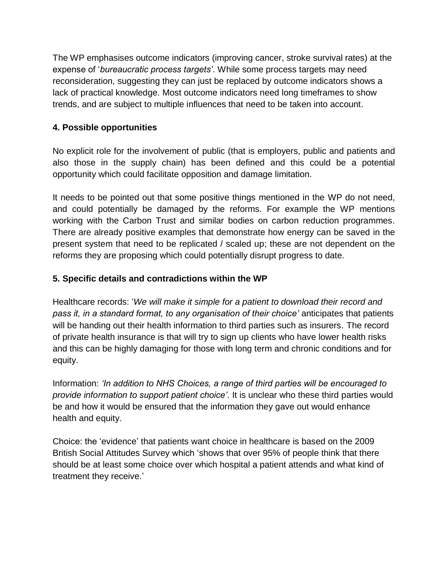The WP emphasises outcome indicators (improving cancer, stroke survival rates) at the expense of '*bureaucratic process targets'*. While some process targets may need reconsideration, suggesting they can just be replaced by outcome indicators shows a lack of practical knowledge. Most outcome indicators need long timeframes to show trends, and are subject to multiple influences that need to be taken into account.

# **4. Possible opportunities**

No explicit role for the involvement of public (that is employers, public and patients and also those in the supply chain) has been defined and this could be a potential opportunity which could facilitate opposition and damage limitation.

It needs to be pointed out that some positive things mentioned in the WP do not need, and could potentially be damaged by the reforms. For example the WP mentions working with the Carbon Trust and similar bodies on carbon reduction programmes. There are already positive examples that demonstrate how energy can be saved in the present system that need to be replicated / scaled up; these are not dependent on the reforms they are proposing which could potentially disrupt progress to date.

# **5. Specific details and contradictions within the WP**

Healthcare records: '*We will make it simple for a patient to download their record and pass it, in a standard format, to any organisation of their choice'* anticipates that patients will be handing out their health information to third parties such as insurers. The record of private health insurance is that will try to sign up clients who have lower health risks and this can be highly damaging for those with long term and chronic conditions and for equity.

Information: *'In addition to NHS Choices, a range of third parties will be encouraged to provide information to support patient choice'*. It is unclear who these third parties would be and how it would be ensured that the information they gave out would enhance health and equity.

Choice: the 'evidence' that patients want choice in healthcare is based on the 2009 British Social Attitudes Survey which 'shows that over 95% of people think that there should be at least some choice over which hospital a patient attends and what kind of treatment they receive.'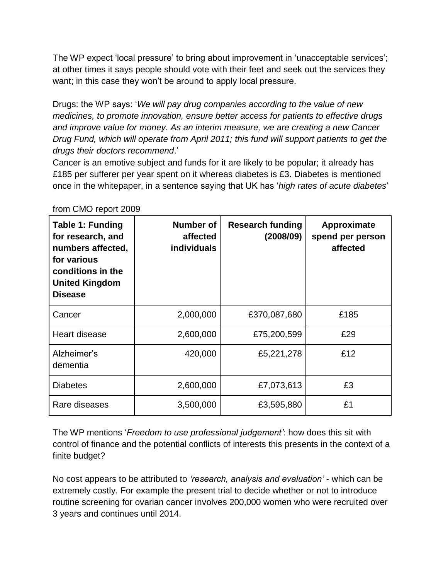The WP expect 'local pressure' to bring about improvement in 'unacceptable services'; at other times it says people should vote with their feet and seek out the services they want; in this case they won't be around to apply local pressure.

Drugs: the WP says: '*We will pay drug companies according to the value of new medicines, to promote innovation, ensure better access for patients to effective drugs and improve value for money. As an interim measure, we are creating a new Cancer Drug Fund, which will operate from April 2011; this fund will support patients to get the drugs their doctors recommend*.'

Cancer is an emotive subject and funds for it are likely to be popular; it already has £185 per sufferer per year spent on it whereas diabetes is £3. Diabetes is mentioned once in the whitepaper, in a sentence saying that UK has '*high rates of acute diabetes*'

| <b>Table 1: Funding</b><br>for research, and<br>numbers affected,<br>for various<br>conditions in the<br><b>United Kingdom</b><br><b>Disease</b> | Number of<br>affected<br><b>individuals</b> | <b>Research funding</b><br>(2008/09) | Approximate<br>spend per person<br>affected |
|--------------------------------------------------------------------------------------------------------------------------------------------------|---------------------------------------------|--------------------------------------|---------------------------------------------|
| Cancer                                                                                                                                           | 2,000,000                                   | £370,087,680                         | £185                                        |
| Heart disease                                                                                                                                    | 2,600,000                                   | £75,200,599                          | £29                                         |
| Alzheimer's<br>dementia                                                                                                                          | 420,000                                     | £5,221,278                           | £12                                         |
| <b>Diabetes</b>                                                                                                                                  | 2,600,000                                   | £7,073,613                           | £3                                          |
| Rare diseases                                                                                                                                    | 3,500,000                                   | £3,595,880                           | £1                                          |

from CMO report 2009

The WP mentions '*Freedom to use professional judgement'*: how does this sit with control of finance and the potential conflicts of interests this presents in the context of a finite budget?

No cost appears to be attributed to *'research, analysis and evaluation'* - which can be extremely costly. For example the present trial to decide whether or not to introduce routine screening for ovarian cancer involves 200,000 women who were recruited over 3 years and continues until 2014.